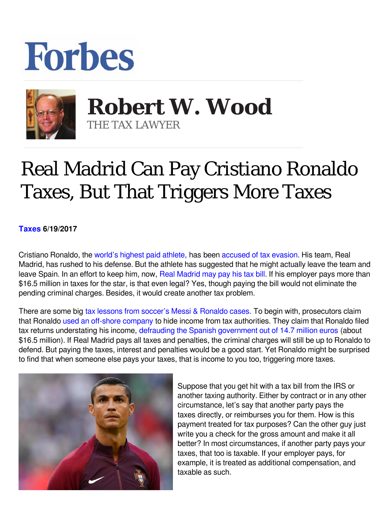## **Forbes**



 **Robert W. Wood** THE TAX LAWYER

## Real Madrid Can Pay Cristiano Ronaldo Taxes, But That Triggers More Taxes

## **[Taxes](https://www.forbes.com/taxes) 6/19/2017**

Cristiano Ronaldo, the [world's highest paid athlete,](https://www.forbes.com/athletes/list/) has been [accused of tax evasion](https://www.reuters.com/article/us-soccer-taxation-ronaldo-idUSKBN1942RJ). His team, Real Madrid, has rushed to his defense. But the athlete has suggested that he might actually leave the team and leave Spain. In an effort to keep him, now, [Real Madrid may pay his tax bill](https://www.google.com/url?sa=t&rct=j&q=&esrc=s&source=newssearch&cd=1&cad=rja&uact=8&ved=0ahUKEwjypfGyhMbUAhWDrD4KHSXZDH4QqQIIISgAMAA&url=https://www.thesun.co.uk/sport/football/3823352/real-madrid-ready-to-pay-cristiano-ronaldos-tax-bill-to-keep-him-at-the-club-and-fend-off-manchester-united/&usg=AFQjCNEgcTOZVy24l-QbirfAvqVVSdJvTw). If his employer pays more than \$16.5 million in taxes for the star, is that even legal? Yes, though paying the bill would not eliminate the pending criminal charges. Besides, it would create another tax problem.

There are some big [tax lessons from soccer's Messi & Ronaldo cases.](https://www.google.com/url?sa=t&rct=j&q=&esrc=s&source=web&cd=1&cad=rja&uact=8&ved=0ahUKEwjKoOuupcrUAhXCcD4KHYbBB5YQFggiMAA&url=http://www.forbes.com/sites/robertwood/2017/06/16/tax-lessons-from-soccers-messi-ronaldo-tax-evasion-cases/&usg=AFQjCNEBObq0SCSTGJ9GjjlrftFzzkbt7g) To begin with, prosecutors claim that Ronaldo [used an off-shore company](http://www.espnfc.com/real-madrid/story/3143988/real-madrids-cristiano-ronaldo-vows-to-quiet-over-tax-fraud-allegations) to hide income from tax authorities. They claim that Ronaldo filed tax returns understating his income, [defrauding the Spanish government out of 14.7 million euros](https://www.si.com/planet-futbol/2017/06/13/cristiano-ronaldo-tax-fraud-charges) (about \$16.5 million). If Real Madrid pays all taxes and penalties, the criminal charges will still be up to Ronaldo to defend. But paying the taxes, interest and penalties would be a good start. Yet Ronaldo might be surprised to find that when someone else pays your taxes, that is income to you too, triggering more taxes.



Suppose that you get hit with a tax bill from the IRS or another taxing authority. Either by contract or in any other circumstance, let's say that another party pays the taxes directly, or reimburses you for them. How is this payment treated for tax purposes? Can the other guy just write you a check for the gross amount and make it all better? In most circumstances, if another party pays your taxes, that too is taxable. If your employer pays, for example, it is treated as additional compensation, and taxable as such.